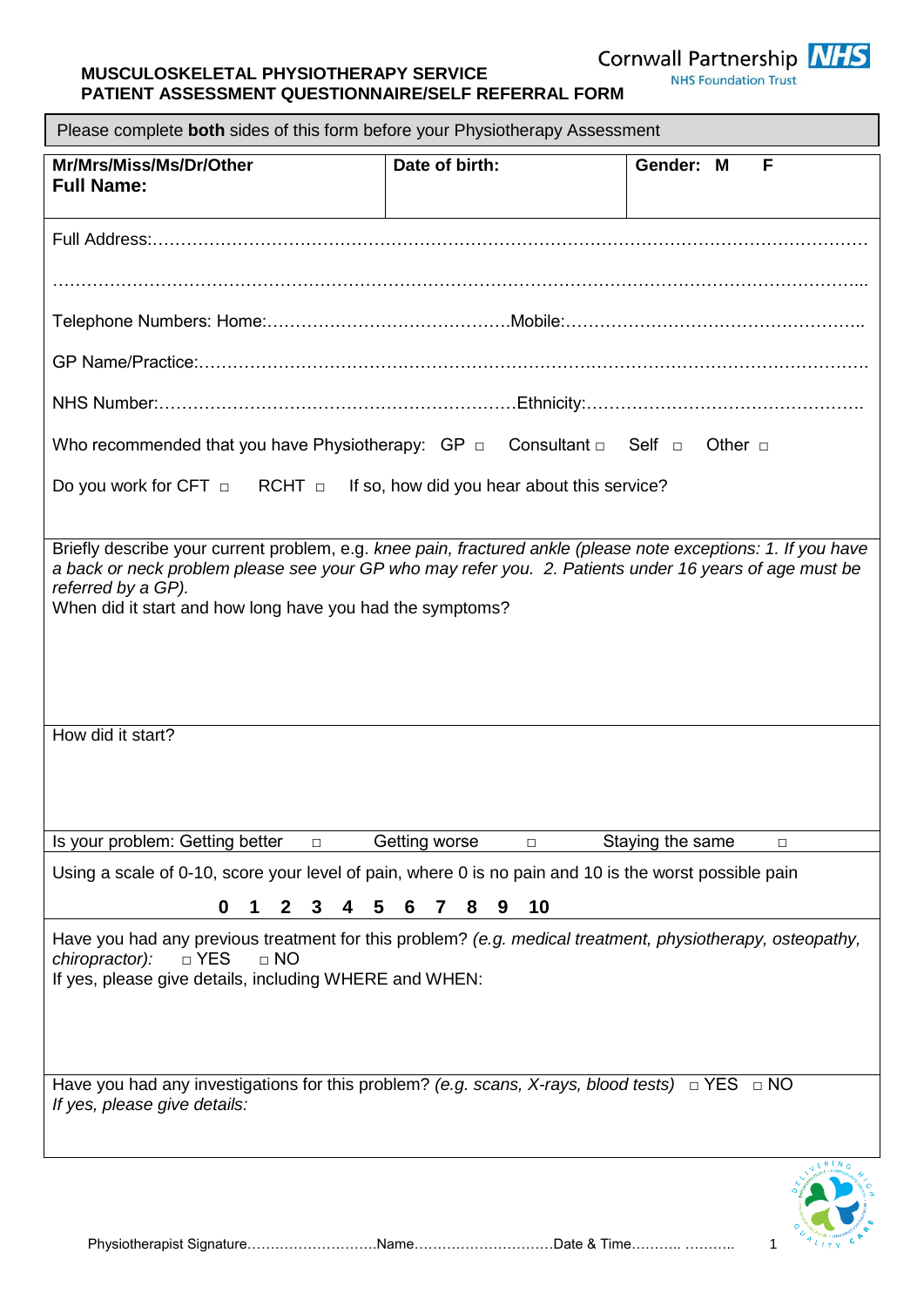**MUSCULOSKELETAL PHYSIOTHERAPY SERVICE** 

Cornwall Partnership NHS

| <b>MOSCOLOSKLLLTAL FIITSIOTHLKAFT SLKVIGL</b><br><b>NHS Foundation Trust</b><br>PATIENT ASSESSMENT QUESTIONNAIRE/SELF REFERRAL FORM<br>Please complete both sides of this form before your Physiotherapy Assessment                                                                                         |                             |                            |  |  |  |  |
|-------------------------------------------------------------------------------------------------------------------------------------------------------------------------------------------------------------------------------------------------------------------------------------------------------------|-----------------------------|----------------------------|--|--|--|--|
|                                                                                                                                                                                                                                                                                                             |                             |                            |  |  |  |  |
|                                                                                                                                                                                                                                                                                                             |                             |                            |  |  |  |  |
|                                                                                                                                                                                                                                                                                                             |                             |                            |  |  |  |  |
|                                                                                                                                                                                                                                                                                                             |                             |                            |  |  |  |  |
|                                                                                                                                                                                                                                                                                                             |                             |                            |  |  |  |  |
| Who recommended that you have Physiotherapy: $GP \Box$ Consultant $\Box$ Self $\Box$                                                                                                                                                                                                                        |                             | Other $\Box$               |  |  |  |  |
| Do you work for CFT $\Box$ RCHT $\Box$ If so, how did you hear about this service?                                                                                                                                                                                                                          |                             |                            |  |  |  |  |
| Briefly describe your current problem, e.g. knee pain, fractured ankle (please note exceptions: 1. If you have<br>a back or neck problem please see your GP who may refer you. 2. Patients under 16 years of age must be<br>referred by a GP).<br>When did it start and how long have you had the symptoms? |                             |                            |  |  |  |  |
| How did it start?                                                                                                                                                                                                                                                                                           |                             |                            |  |  |  |  |
| Is your problem: Getting better<br>$\Box$                                                                                                                                                                                                                                                                   | Getting worse<br>$\Box$     | Staying the same<br>$\Box$ |  |  |  |  |
| Using a scale of 0-10, score your level of pain, where 0 is no pain and 10 is the worst possible pain                                                                                                                                                                                                       |                             |                            |  |  |  |  |
| 0<br>$\mathbf{2}$<br>3<br>4                                                                                                                                                                                                                                                                                 | 5<br>10<br>6<br>8<br>7<br>9 |                            |  |  |  |  |
| Have you had any previous treatment for this problem? (e.g. medical treatment, physiotherapy, osteopathy,<br>$\Box$ NO<br>chiropractor):<br>□ YES<br>If yes, please give details, including WHERE and WHEN:                                                                                                 |                             |                            |  |  |  |  |
| Have you had any investigations for this problem? (e.g. scans, X-rays, blood tests) $\Box$ YES $\Box$ NO<br>If yes, please give details:                                                                                                                                                                    |                             |                            |  |  |  |  |
|                                                                                                                                                                                                                                                                                                             |                             |                            |  |  |  |  |